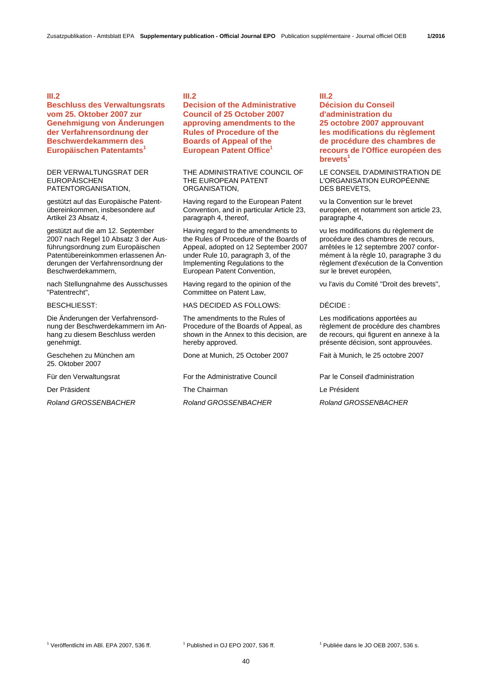# **III.2**

**Beschluss des Verwaltungsrats vom 25. Oktober 2007 zur Genehmigung von Änderungen der Verfahrensordnung der Beschwerdekammern des Europäischen Patentamts<sup>1</sup>**

### DER VERWALTUNGSRAT DER EUROPÄISCHEN PATENTORGANISATION,

gestützt auf das Europäische Patentübereinkommen, insbesondere auf Artikel 23 Absatz 4,

gestützt auf die am 12. September 2007 nach Regel 10 Absatz 3 der Ausführungsordnung zum Europäischen Patentübereinkommen erlassenen Änderungen der Verfahrensordnung der Beschwerdekammern,

nach Stellungnahme des Ausschusses "Patentrecht",

Die Änderungen der Verfahrensordnung der Beschwerdekammern im Anhang zu diesem Beschluss werden genehmigt.

Geschehen zu München am 25. Oktober 2007

Der Präsident The Chairman Le Président

# **III.2**

**Decision of the Administrative Council of 25 October 2007 approving amendments to the Rules of Procedure of the Boards of Appeal of the European Patent Office<sup>1</sup>**

 THE ADMINISTRATIVE COUNCIL OF THE EUROPEAN PATENT **ORGANISATION** 

 Having regard to the European Patent Convention, and in particular Article 23, paragraph 4, thereof,

 Having regard to the amendments to the Rules of Procedure of the Boards of Appeal, adopted on 12 September 2007 under Rule 10, paragraph 3, of the Implementing Regulations to the European Patent Convention,

 Having regard to the opinion of the Committee on Patent Law,

# BESCHLIESST: HAS DECIDED AS FOLLOWS: DÉCIDE :

 The amendments to the Rules of Procedure of the Boards of Appeal, as shown in the Annex to this decision, are hereby approved.

Done at Munich, 25 October 2007 Fait à Munich, le 25 octobre 2007

### **III.2**

**Décision du Conseil d'administration du 25 octobre 2007 approuvant les modifications du règlement de procédure des chambres de recours de l'Office européen des brevets<sup>1</sup>**

 LE CONSEIL D'ADMINISTRATION DE L'ORGANISATION EUROPÉENNE DES BREVETS,

 vu la Convention sur le brevet européen, et notamment son article 23, paragraphe 4,

 vu les modifications du règlement de procédure des chambres de recours, arrêtées le 12 septembre 2007 conformément à la règle 10, paragraphe 3 du règlement d'exécution de la Convention sur le brevet européen,

vu l'avis du Comité "Droit des brevets",

 Les modifications apportées au règlement de procédure des chambres de recours, qui figurent en annexe à la présente décision, sont approuvées.

Für den Verwaltungsrat For the Administrative Council Par le Conseil d'administration

*Roland GROSSENBACHER Roland GROSSENBACHER Roland GROSSENBACHER*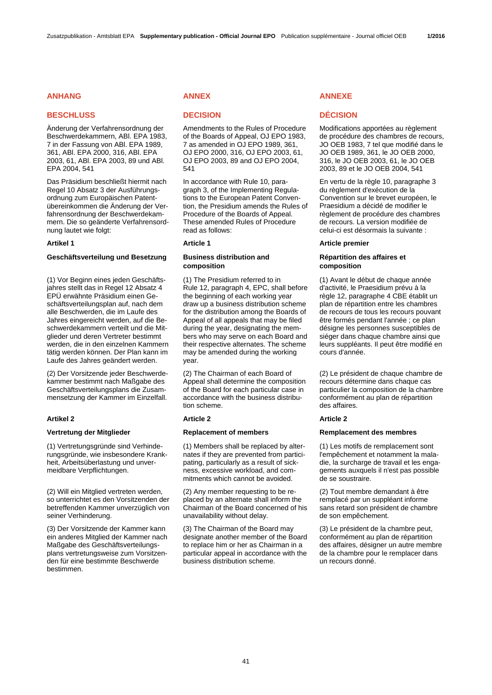### **ANHANG ANNEX ANNEXE ANHANG**

# **BESCHLUSS DECISION DÉCISION**

Änderung der Verfahrensordnung der Beschwerdekammern, ABl. EPA 1983, 7 in der Fassung von ABl. EPA 1989, 361, ABl. EPA 2000, 316, ABl. EPA 2003, 61, ABl. EPA 2003, 89 und ABl. EPA 2004, 541

Das Präsidium beschließt hiermit nach Regel 10 Absatz 3 der Ausführungsordnung zum Europäischen Patentübereinkommen die Änderung der Verfahrensordnung der Beschwerdekammern. Die so geänderte Verfahrensordnung lautet wie folgt:

# Geschäftsverteilung und Besetzung Business distribution and

(1) Vor Beginn eines jeden Geschäftsjahres stellt das in Regel 12 Absatz 4 EPÜ erwähnte Präsidium einen Geschäftsverteilungsplan auf, nach dem alle Beschwerden, die im Laufe des Jahres eingereicht werden, auf die Beschwerdekammern verteilt und die Mitglieder und deren Vertreter bestimmt werden, die in den einzelnen Kammern tätig werden können. Der Plan kann im Laufe des Jahres geändert werden.

(2) Der Vorsitzende jeder Beschwerdekammer bestimmt nach Maßgabe des Geschäftsverteilungsplans die Zusammensetzung der Kammer im Einzelfall.

### **Artikel 2 Article 2 Article 2**

(1) Vertretungsgründe sind Verhinderungsgründe, wie insbesondere Krankheit, Arbeitsüberlastung und unvermeidbare Verpflichtungen.

(2) Will ein Mitglied vertreten werden, so unterrichtet es den Vorsitzenden der betreffenden Kammer unverzüglich von seiner Verhinderung.

(3) Der Vorsitzende der Kammer kann ein anderes Mitglied der Kammer nach Maßgabe des Geschäftsverteilungsplans vertretungsweise zum Vorsitzenden für eine bestimmte Beschwerde bestimmen.

Amendments to the Rules of Procedure of the Boards of Appeal, OJ EPO 1983, 7 as amended in OJ EPO 1989, 361, OJ EPO 2000, 316, OJ EPO 2003, 61, OJ EPO 2003, 89 and OJ EPO 2004, 541

 In accordance with Rule 10, paragraph 3, of the Implementing Regulations to the European Patent Convention, the Presidium amends the Rules of Procedure of the Boards of Appeal. These amended Rules of Procedure read as follows:

# **composition**

 (1) The Presidium referred to in Rule 12, paragraph 4, EPC, shall before the beginning of each working year draw up a business distribution scheme for the distribution among the Boards of Appeal of all appeals that may be filed during the year, designating the members who may serve on each Board and their respective alternates. The scheme may be amended during the working year.

 (2) The Chairman of each Board of Appeal shall determine the composition of the Board for each particular case in accordance with the business distribution scheme.

 (1) Members shall be replaced by alternates if they are prevented from participating, particularly as a result of sickness, excessive workload, and commitments which cannot be avoided.

 (2) Any member requesting to be replaced by an alternate shall inform the Chairman of the Board concerned of his unavailability without delay.

 (3) The Chairman of the Board may designate another member of the Board to replace him or her as Chairman in a particular appeal in accordance with the business distribution scheme.

 Modifications apportées au règlement de procédure des chambres de recours, JO OEB 1983, 7 tel que modifié dans le JO OEB 1989, 361, le JO OEB 2000, 316, le JO OEB 2003, 61, le JO OEB 2003, 89 et le JO OEB 2004, 541

 En vertu de la règle 10, paragraphe 3 du règlement d'exécution de la Convention sur le brevet européen, le Praesidium a décidé de modifier le règlement de procédure des chambres de recours. La version modifiée de celui-ci est désormais la suivante :

### **Artikel 1 Article 1 Article premier**

# **Répartition des affaires et composition**

 (1) Avant le début de chaque année d'activité, le Praesidium prévu à la règle 12, paragraphe 4 CBE établit un plan de répartition entre les chambres de recours de tous les recours pouvant être formés pendant l'année ; ce plan désigne les personnes susceptibles de siéger dans chaque chambre ainsi que leurs suppléants. Il peut être modifié en cours d'année.

 (2) Le président de chaque chambre de recours détermine dans chaque cas particulier la composition de la chambre conformément au plan de répartition des affaires.

### **Vertretung der Mitglieder Replacement of members Remplacement des membres**

 (1) Les motifs de remplacement sont l'empêchement et notamment la maladie, la surcharge de travail et les engagements auxquels il n'est pas possible de se soustraire.

 (2) Tout membre demandant à être remplacé par un suppléant informe sans retard son président de chambre de son empêchement.

 (3) Le président de la chambre peut, conformément au plan de répartition des affaires, désigner un autre membre de la chambre pour le remplacer dans un recours donné.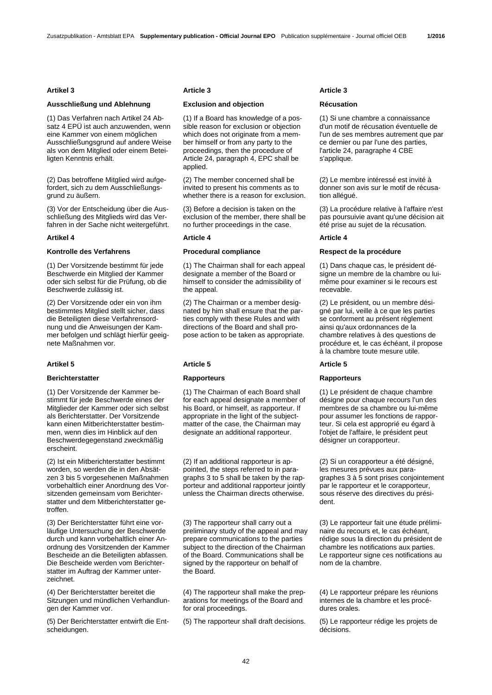# **Ausschließung und Ablehnung Exclusion and objection Récusation**

(1) Das Verfahren nach Artikel 24 Absatz 4 EPÜ ist auch anzuwenden, wenn eine Kammer von einem möglichen Ausschließungsgrund auf andere Weise als von dem Mitglied oder einem Beteiligten Kenntnis erhält.

(2) Das betroffene Mitglied wird aufgefordert, sich zu dem Ausschließungsgrund zu äußern.

(3) Vor der Entscheidung über die Ausschließung des Mitglieds wird das Verfahren in der Sache nicht weitergeführt.

### **Artikel 4 Article 4 Article 4**

(1) Der Vorsitzende bestimmt für jede Beschwerde ein Mitglied der Kammer oder sich selbst für die Prüfung, ob die Beschwerde zulässig ist.

(2) Der Vorsitzende oder ein von ihm bestimmtes Mitglied stellt sicher, dass die Beteiligten diese Verfahrensordnung und die Anweisungen der Kammer befolgen und schlägt hierfür geeignete Maßnahmen vor.

### **Berichterstatter Rapporteurs Rapporteurs**

(1) Der Vorsitzende der Kammer bestimmt für jede Beschwerde eines der Mitglieder der Kammer oder sich selbst als Berichterstatter. Der Vorsitzende kann einen Mitberichterstatter bestimmen, wenn dies im Hinblick auf den Beschwerdegegenstand zweckmäßig erscheint.

(2) Ist ein Mitberichterstatter bestimmt worden, so werden die in den Absätzen 3 bis 5 vorgesehenen Maßnahmen vorbehaltlich einer Anordnung des Vorsitzenden gemeinsam vom Berichterstatter und dem Mitberichterstatter getroffen.

(3) Der Berichterstatter führt eine vorläufige Untersuchung der Beschwerde durch und kann vorbehaltlich einer Anordnung des Vorsitzenden der Kammer Bescheide an die Beteiligten abfassen. Die Bescheide werden vom Berichterstatter im Auftrag der Kammer unterzeichnet.

(4) Der Berichterstatter bereitet die Sitzungen und mündlichen Verhandlungen der Kammer vor.

(5) Der Berichterstatter entwirft die Entscheidungen.

### **Artikel 3 Article 3 Article 3**

 (1) If a Board has knowledge of a possible reason for exclusion or objection which does not originate from a member himself or from any party to the proceedings, then the procedure of Article 24, paragraph 4, EPC shall be applied.

 (2) The member concerned shall be invited to present his comments as to whether there is a reason for exclusion.

 (3) Before a decision is taken on the exclusion of the member, there shall be no further proceedings in the case.

 (1) The Chairman shall for each appeal designate a member of the Board or himself to consider the admissibility of the appeal.

 (2) The Chairman or a member designated by him shall ensure that the parties comply with these Rules and with directions of the Board and shall propose action to be taken as appropriate.

### **Artikel 5 Article 5 Article 5**

 (1) The Chairman of each Board shall for each appeal designate a member of his Board, or himself, as rapporteur. If appropriate in the light of the subjectmatter of the case, the Chairman may designate an additional rapporteur.

 (2) If an additional rapporteur is appointed, the steps referred to in paragraphs 3 to 5 shall be taken by the rapporteur and additional rapporteur jointly unless the Chairman directs otherwise.

 (3) The rapporteur shall carry out a preliminary study of the appeal and may prepare communications to the parties subject to the direction of the Chairman of the Board. Communications shall be signed by the rapporteur on behalf of the Board.

 (4) The rapporteur shall make the preparations for meetings of the Board and for oral proceedings.

(5) The rapporteur shall draft decisions. (5) Le rapporteur rédige les projets de

 (1) Si une chambre a connaissance d'un motif de récusation éventuelle de l'un de ses membres autrement que par ce dernier ou par l'une des parties, l'article 24, paragraphe 4 CBE s'applique.

 (2) Le membre intéressé est invité à donner son avis sur le motif de récusation alléqué.

 (3) La procédure relative à l'affaire n'est pas poursuivie avant qu'une décision ait été prise au sujet de la récusation.

### **Kontrolle des Verfahrens Trocedural compliance Respect de la procédure in the Respect de la procédure**

 (1) Dans chaque cas, le président désigne un membre de la chambre ou luimême pour examiner si le recours est recevable.

 (2) Le président, ou un membre désigné par lui, veille à ce que les parties se conforment au présent règlement ainsi qu'aux ordonnances de la chambre relatives à des questions de procédure et, le cas échéant, il propose à la chambre toute mesure utile.

 (1) Le président de chaque chambre désigne pour chaque recours l'un des membres de sa chambre ou lui-même pour assumer les fonctions de rapporteur. Si cela est approprié eu égard à l'objet de l'affaire, le président peut désigner un corapporteur.

 (2) Si un corapporteur a été désigné, les mesures prévues aux paragraphes 3 à 5 sont prises conjointement par le rapporteur et le corapporteur, sous réserve des directives du président.

 (3) Le rapporteur fait une étude préliminaire du recours et, le cas échéant, rédige sous la direction du président de chambre les notifications aux parties. Le rapporteur signe ces notifications au nom de la chambre.

 (4) Le rapporteur prépare les réunions internes de la chambre et les procédures orales.

décisions.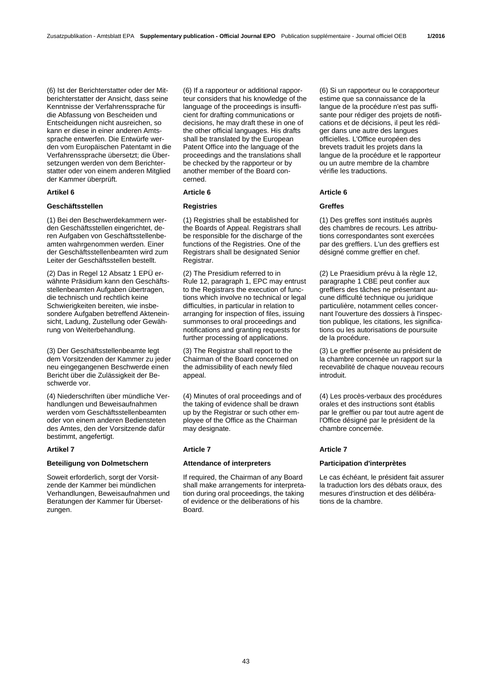(6) Ist der Berichterstatter oder der Mitberichterstatter der Ansicht, dass seine Kenntnisse der Verfahrenssprache für die Abfassung von Bescheiden und Entscheidungen nicht ausreichen, so kann er diese in einer anderen Amtssprache entwerfen. Die Entwürfe werden vom Europäischen Patentamt in die Verfahrenssprache übersetzt; die Übersetzungen werden von dem Berichterstatter oder von einem anderen Mitglied der Kammer überprüft.

# **Geschäftsstellen Registries Greffes**

(1) Bei den Beschwerdekammern werden Geschäftsstellen eingerichtet, deren Aufgaben von Geschäftsstellenbeamten wahrgenommen werden. Einer der Geschäftsstellenbeamten wird zum Leiter der Geschäftsstellen bestellt.

(2) Das in Regel 12 Absatz 1 EPÜ erwähnte Präsidium kann den Geschäftsstellenbeamten Aufgaben übertragen, die technisch und rechtlich keine Schwierigkeiten bereiten, wie insbesondere Aufgaben betreffend Akteneinsicht, Ladung, Zustellung oder Gewährung von Weiterbehandlung.

(3) Der Geschäftsstellenbeamte legt dem Vorsitzenden der Kammer zu jeder neu eingegangenen Beschwerde einen Bericht über die Zulässigkeit der Beschwerde vor.

(4) Niederschriften über mündliche Verhandlungen und Beweisaufnahmen werden vom Geschäftsstellenbeamten oder von einem anderen Bediensteten des Amtes, den der Vorsitzende dafür bestimmt, angefertigt.

# **Artikel 7 Article 7 Article 7**

### **Beteiligung von Dolmetschern Attendance of interpreters Participation d'interprètes**

Soweit erforderlich, sorgt der Vorsitzende der Kammer bei mündlichen Verhandlungen, Beweisaufnahmen und Beratungen der Kammer für Übersetzungen.

 (6) If a rapporteur or additional rapporteur considers that his knowledge of the language of the proceedings is insufficient for drafting communications or decisions, he may draft these in one of the other official languages. His drafts shall be translated by the European Patent Office into the language of the proceedings and the translations shall be checked by the rapporteur or by another member of the Board concerned.

### **Artikel 6 Article 6 Article 6**

 (1) Registries shall be established for the Boards of Appeal. Registrars shall be responsible for the discharge of the functions of the Registries. One of the Registrars shall be designated Senior Registrar.

 (2) The Presidium referred to in Rule 12, paragraph 1, EPC may entrust to the Registrars the execution of functions which involve no technical or legal difficulties, in particular in relation to arranging for inspection of files, issuing summonses to oral proceedings and notifications and granting requests for further processing of applications.

 (3) The Registrar shall report to the Chairman of the Board concerned on the admissibility of each newly filed appeal.

 (4) Minutes of oral proceedings and of the taking of evidence shall be drawn up by the Registrar or such other employee of the Office as the Chairman may designate.

 If required, the Chairman of any Board shall make arrangements for interpretation during oral proceedings, the taking of evidence or the deliberations of his Board.

 (6) Si un rapporteur ou le corapporteur estime que sa connaissance de la langue de la procédure n'est pas suffisante pour rédiger des projets de notifications et de décisions, il peut les rédiger dans une autre des langues officielles. L'Office européen des brevets traduit les projets dans la langue de la procédure et le rapporteur ou un autre membre de la chambre vérifie les traductions.

 (1) Des greffes sont institués auprès des chambres de recours. Les attributions correspondantes sont exercées par des greffiers. L'un des greffiers est désigné comme greffier en chef.

 (2) Le Praesidium prévu à la règle 12, paragraphe 1 CBE peut confier aux greffiers des tâches ne présentant aucune difficulté technique ou juridique particulière, notamment celles concernant l'ouverture des dossiers à l'inspection publique, les citations, les significations ou les autorisations de poursuite de la procédure.

 (3) Le greffier présente au président de la chambre concernée un rapport sur la recevabilité de chaque nouveau recours introduit.

 (4) Les procès-verbaux des procédures orales et des instructions sont établis par le greffier ou par tout autre agent de l'Office désigné par le président de la chambre concernée.

 Le cas échéant, le président fait assurer la traduction lors des débats oraux, des mesures d'instruction et des délibérations de la chambre.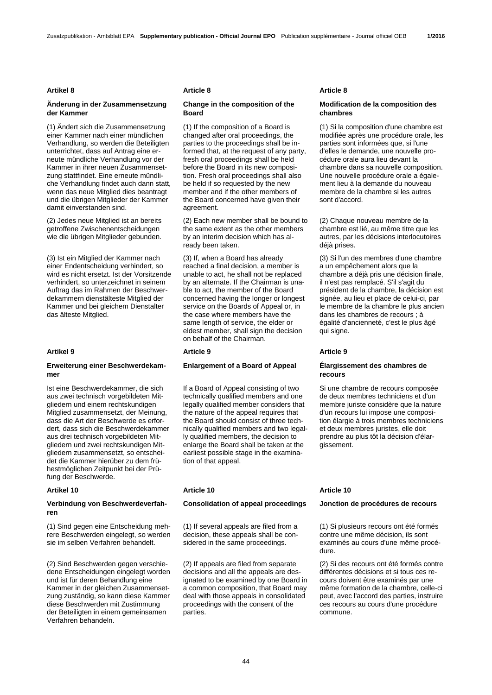### **Änderung in der Zusammensetzung der Kammer**

(1) Ändert sich die Zusammensetzung einer Kammer nach einer mündlichen Verhandlung, so werden die Beteiligten unterrichtet, dass auf Antrag eine erneute mündliche Verhandlung vor der Kammer in ihrer neuen Zusammensetzung stattfindet. Eine erneute mündliche Verhandlung findet auch dann statt, wenn das neue Mitglied dies beantragt und die übrigen Mitglieder der Kammer damit einverstanden sind.

(2) Jedes neue Mitglied ist an bereits getroffene Zwischenentscheidungen wie die übrigen Mitglieder gebunden.

(3) Ist ein Mitglied der Kammer nach einer Endentscheidung verhindert, so wird es nicht ersetzt. Ist der Vorsitzende verhindert, so unterzeichnet in seinem Auftrag das im Rahmen der Beschwerdekammern dienstälteste Mitglied der Kammer und bei gleichem Dienstalter das älteste Mitglied.

### **Erweiterung einer Beschwerdekammer**

Ist eine Beschwerdekammer, die sich aus zwei technisch vorgebildeten Mitgliedern und einem rechtskundigen Mitglied zusammensetzt, der Meinung, dass die Art der Beschwerde es erfordert, dass sich die Beschwerdekammer aus drei technisch vorgebildeten Mitgliedern und zwei rechtskundigen Mitgliedern zusammensetzt, so entscheidet die Kammer hierüber zu dem frühestmöglichen Zeitpunkt bei der Prüfung der Beschwerde.

### **Verbindung von Beschwerdeverfahren**

(1) Sind gegen eine Entscheidung mehrere Beschwerden eingelegt, so werden sie im selben Verfahren behandelt.

(2) Sind Beschwerden gegen verschiedene Entscheidungen eingelegt worden und ist für deren Behandlung eine Kammer in der gleichen Zusammensetzung zuständig, so kann diese Kammer diese Beschwerden mit Zustimmung der Beteiligten in einem gemeinsamen Verfahren behandeln.

# **Change in the composition of the Board**

 (1) If the composition of a Board is changed after oral proceedings, the parties to the proceedings shall be informed that, at the request of any party, fresh oral proceedings shall be held before the Board in its new composition. Fresh oral proceedings shall also be held if so requested by the new member and if the other members of the Board concerned have given their agreement.

 (2) Each new member shall be bound to the same extent as the other members by an interim decision which has already been taken.

 (3) If, when a Board has already reached a final decision, a member is unable to act, he shall not be replaced by an alternate. If the Chairman is unable to act, the member of the Board concerned having the longer or longest service on the Boards of Appeal or, in the case where members have the same length of service, the elder or eldest member, shall sign the decision on behalf of the Chairman.

### **Artikel 9 Article 9 Article 9**

# **Enlargement of a Board of Appeal Élargissement des chambres de**

 If a Board of Appeal consisting of two technically qualified members and one legally qualified member considers that the nature of the appeal requires that the Board should consist of three technically qualified members and two legally qualified members, the decision to enlarge the Board shall be taken at the earliest possible stage in the examination of that appeal.

### **Consolidation of appeal proceedings Jonction de procédures de recours**

 (1) If several appeals are filed from a decision, these appeals shall be considered in the same proceedings.

 (2) If appeals are filed from separate decisions and all the appeals are designated to be examined by one Board in a common composition, that Board may deal with those appeals in consolidated proceedings with the consent of the parties.

### **Artikel 8 Article 8 Article 8**

# **Modification de la composition des chambres**

 (1) Si la composition d'une chambre est modifiée après une procédure orale, les parties sont informées que, si l'une d'elles le demande, une nouvelle procédure orale aura lieu devant la chambre dans sa nouvelle composition. Une nouvelle procédure orale a également lieu à la demande du nouveau membre de la chambre si les autres sont d'accord.

 (2) Chaque nouveau membre de la chambre est lié, au même titre que les autres, par les décisions interlocutoires déjà prises.

 (3) Si l'un des membres d'une chambre a un empêchement alors que la chambre a déjà pris une décision finale, il n'est pas remplacé. S'il s'agit du président de la chambre, la décision est signée, au lieu et place de celui-ci, par le membre de la chambre le plus ancien dans les chambres de recours ; à égalité d'ancienneté, c'est le plus âgé qui signe.

# **recours**

 Si une chambre de recours composée de deux membres techniciens et d'un membre juriste considère que la nature d'un recours lui impose une composition élargie à trois membres techniciens et deux membres juristes, elle doit prendre au plus tôt la décision d'élargissement.

### **Artikel 10 Article 10 Article 10**

 (1) Si plusieurs recours ont été formés contre une même décision, ils sont examinés au cours d'une même procédure.

 (2) Si des recours ont été formés contre différentes décisions et si tous ces recours doivent être examinés par une même formation de la chambre, celle-ci peut, avec l'accord des parties, instruire ces recours au cours d'une procédure commune.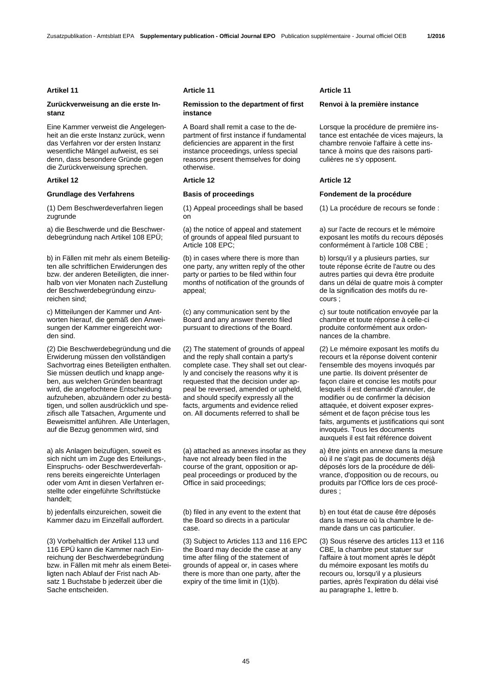# **Zurückverweisung an die erste Instanz**

Eine Kammer verweist die Angelegenheit an die erste Instanz zurück, wenn das Verfahren vor der ersten Instanz wesentliche Mängel aufweist, es sei denn, dass besondere Gründe gegen die Zurückverweisung sprechen.

(1) Dem Beschwerdeverfahren liegen zugrunde

a) die Beschwerde und die Beschwerdebegründung nach Artikel 108 EPÜ;

b) in Fällen mit mehr als einem Beteiligten alle schriftlichen Erwiderungen des bzw. der anderen Beteiligten, die innerhalb von vier Monaten nach Zustellung der Beschwerdebegründung einzureichen sind;

c) Mitteilungen der Kammer und Antworten hierauf, die gemäß den Anweisungen der Kammer eingereicht worden sind.

(2) Die Beschwerdebegründung und die Erwiderung müssen den vollständigen Sachvortrag eines Beteiligten enthalten. Sie müssen deutlich und knapp angeben, aus welchen Gründen beantragt wird, die angefochtene Entscheidung aufzuheben, abzuändern oder zu bestätigen, und sollen ausdrücklich und spezifisch alle Tatsachen, Argumente und Beweismittel anführen. Alle Unterlagen, auf die Bezug genommen wird, sind

a) als Anlagen beizufügen, soweit es sich nicht um im Zuge des Erteilungs-, Einspruchs- oder Beschwerdeverfahrens bereits eingereichte Unterlagen oder vom Amt in diesen Verfahren erstellte oder eingeführte Schriftstücke handelt;

b) jedenfalls einzureichen, soweit die Kammer dazu im Einzelfall auffordert.

(3) Vorbehaltlich der Artikel 113 und 116 EPÜ kann die Kammer nach Einreichung der Beschwerdebegründung bzw. in Fällen mit mehr als einem Beteiligten nach Ablauf der Frist nach Absatz 1 Buchstabe b jederzeit über die Sache entscheiden.

# **Remission to the department of first instance**

A Board shall remit a case to the department of first instance if fundamental deficiencies are apparent in the first instance proceedings, unless special reasons present themselves for doing otherwise.

 (1) Appeal proceedings shall be based on

 (a) the notice of appeal and statement of grounds of appeal filed pursuant to Article 108 EPC;

 (b) in cases where there is more than one party, any written reply of the other party or parties to be filed within four months of notification of the grounds of appeal;

 (c) any communication sent by the Board and any answer thereto filed pursuant to directions of the Board.

 (2) The statement of grounds of appeal and the reply shall contain a party's complete case. They shall set out clearly and concisely the reasons why it is requested that the decision under appeal be reversed, amended or upheld, and should specify expressly all the facts, arguments and evidence relied on. All documents referred to shall be

 (a) attached as annexes insofar as they have not already been filed in the course of the grant, opposition or appeal proceedings or produced by the Office in said proceedings;

 (b) filed in any event to the extent that the Board so directs in a particular case.

 (3) Subject to Articles 113 and 116 EPC the Board may decide the case at any time after filing of the statement of grounds of appeal or, in cases where there is more than one party, after the expiry of the time limit in (1)(b).

### Artikel 11 **Article 11** Article 11 **Article 11** Article 11

### **Renvoi à la première instance**

 Lorsque la procédure de première instance est entachée de vices majeurs, la chambre renvoie l'affaire à cette instance à moins que des raisons particulières ne s'y opposent.

# **Artikel 12 Article 12 Article 12**

# **Grundlage des Verfahrens Basis of proceedings Fondement de la procédure**

(1) La procédure de recours se fonde :

 a) sur l'acte de recours et le mémoire exposant les motifs du recours déposés conformément à l'article 108 CBE ;

 b) lorsqu'il y a plusieurs parties, sur toute réponse écrite de l'autre ou des autres parties qui devra être produite dans un délai de quatre mois à compter de la signification des motifs du recours ;

 c) sur toute notification envoyée par la chambre et toute réponse à celle-ci produite conformément aux ordonnances de la chambre.

 (2) Le mémoire exposant les motifs du recours et la réponse doivent contenir l'ensemble des moyens invoqués par une partie. Ils doivent présenter de façon claire et concise les motifs pour lesquels il est demandé d'annuler, de modifier ou de confirmer la décision attaquée, et doivent exposer expressément et de façon précise tous les faits, arguments et justifications qui sont invoqués. Tous les documents auxquels il est fait référence doivent

 a) être joints en annexe dans la mesure où il ne s'agit pas de documents déjà déposés lors de la procédure de délivrance, d'opposition ou de recours, ou produits par l'Office lors de ces procédures ;

 b) en tout état de cause être déposés dans la mesure où la chambre le demande dans un cas particulier.

 (3) Sous réserve des articles 113 et 116 CBE, la chambre peut statuer sur l'affaire à tout moment après le dépôt du mémoire exposant les motifs du recours ou, lorsqu'il y a plusieurs parties, après l'expiration du délai visé au paragraphe 1, lettre b.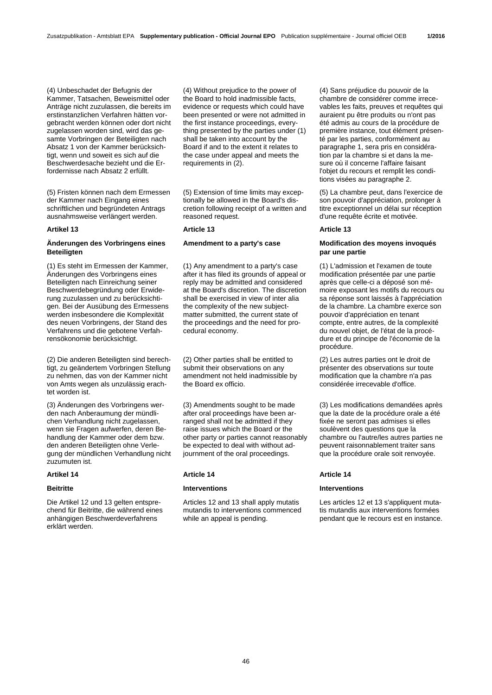(4) Unbeschadet der Befugnis der Kammer, Tatsachen, Beweismittel oder Anträge nicht zuzulassen, die bereits im erstinstanzlichen Verfahren hätten vorgebracht werden können oder dort nicht zugelassen worden sind, wird das gesamte Vorbringen der Beteiligten nach Absatz 1 von der Kammer berücksichtigt, wenn und soweit es sich auf die Beschwerdesache bezieht und die Erfordernisse nach Absatz 2 erfüllt.

(5) Fristen können nach dem Ermessen der Kammer nach Eingang eines schriftlichen und begründeten Antrags ausnahmsweise verlängert werden.

### Artikel 13 **Article 13** Article 13 **Article 13** Article 13

# **Änderungen des Vorbringens eines Beteiligten**

(1) Es steht im Ermessen der Kammer, Änderungen des Vorbringens eines Beteiligten nach Einreichung seiner Beschwerdebegründung oder Erwiderung zuzulassen und zu berücksichtigen. Bei der Ausübung des Ermessens werden insbesondere die Komplexität des neuen Vorbringens, der Stand des Verfahrens und die gebotene Verfahrensökonomie berücksichtigt.

(2) Die anderen Beteiligten sind berechtigt, zu geändertem Vorbringen Stellung zu nehmen, das von der Kammer nicht von Amts wegen als unzulässig erachtet worden ist.

(3) Änderungen des Vorbringens werden nach Anberaumung der mündlichen Verhandlung nicht zugelassen, wenn sie Fragen aufwerfen, deren Behandlung der Kammer oder dem bzw. den anderen Beteiligten ohne Verlegung der mündlichen Verhandlung nicht zuzumuten ist.

Die Artikel 12 und 13 gelten entsprechend für Beitritte, die während eines anhängigen Beschwerdeverfahrens erklärt werden.

 (4) Without prejudice to the power of the Board to hold inadmissible facts, evidence or requests which could have been presented or were not admitted in the first instance proceedings, everything presented by the parties under (1) shall be taken into account by the Board if and to the extent it relates to the case under appeal and meets the requirements in (2).

 (5) Extension of time limits may exceptionally be allowed in the Board's discretion following receipt of a written and reasoned request.

 (1) Any amendment to a party's case after it has filed its grounds of appeal or reply may be admitted and considered at the Board's discretion. The discretion shall be exercised in view of inter alia the complexity of the new subjectmatter submitted, the current state of the proceedings and the need for procedural economy.

 (2) Other parties shall be entitled to submit their observations on any amendment not held inadmissible by the Board ex officio.

 (3) Amendments sought to be made after oral proceedings have been arranged shall not be admitted if they raise issues which the Board or the other party or parties cannot reasonably be expected to deal with without adjournment of the oral proceedings.

Articles 12 and 13 shall apply mutatis mutandis to interventions commenced while an appeal is pending.

 (4) Sans préjudice du pouvoir de la chambre de considérer comme irrecevables les faits, preuves et requêtes qui auraient pu être produits ou n'ont pas été admis au cours de la procédure de première instance, tout élément présenté par les parties, conformément au paragraphe 1, sera pris en considération par la chambre si et dans la mesure où il concerne l'affaire faisant l'objet du recours et remplit les conditions visées au paragraphe 2.

 (5) La chambre peut, dans l'exercice de son pouvoir d'appréciation, prolonger à titre exceptionnel un délai sur réception d'une requête écrite et motivée.

# **Amendment to a party's case Modification des moyens invoqués par une partie**

 (1) L'admission et l'examen de toute modification présentée par une partie après que celle-ci a déposé son mémoire exposant les motifs du recours ou sa réponse sont laissés à l'appréciation de la chambre. La chambre exerce son pouvoir d'appréciation en tenant compte, entre autres, de la complexité du nouvel objet, de l'état de la procédure et du principe de l'économie de la procédure.

 (2) Les autres parties ont le droit de présenter des observations sur toute modification que la chambre n'a pas considérée irrecevable d'office.

 (3) Les modifications demandées après que la date de la procédure orale a été fixée ne seront pas admises si elles soulèvent des questions que la chambre ou l'autre/les autres parties ne peuvent raisonnablement traiter sans que la procédure orale soit renvoyée.

### **Artikel 14 Article 14 Article 14**

### **Beitritte Interventions Interventions**

 Les articles 12 et 13 s'appliquent mutatis mutandis aux interventions formées pendant que le recours est en instance.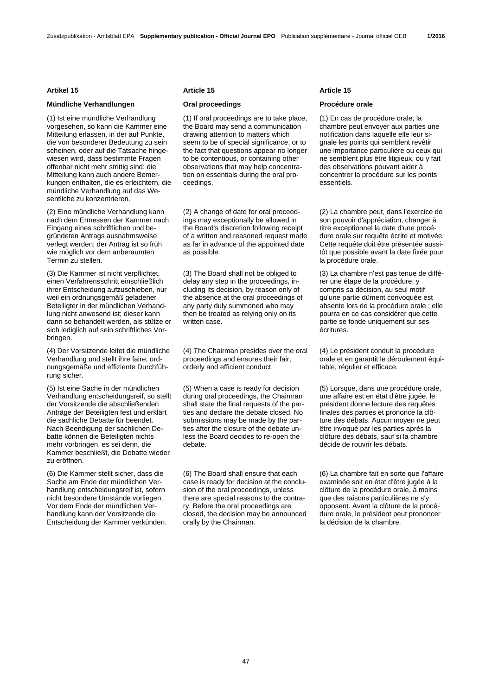# **Mündliche Verhandlungen Oral proceedings Procédure orale**

(1) Ist eine mündliche Verhandlung vorgesehen, so kann die Kammer eine Mitteilung erlassen, in der auf Punkte, die von besonderer Bedeutung zu sein scheinen, oder auf die Tatsache hingewiesen wird, dass bestimmte Fragen offenbar nicht mehr strittig sind; die Mitteilung kann auch andere Bemerkungen enthalten, die es erleichtern, die mündliche Verhandlung auf das Wesentliche zu konzentrieren.

(2) Eine mündliche Verhandlung kann nach dem Ermessen der Kammer nach Eingang eines schriftlichen und begründeten Antrags ausnahmsweise verlegt werden; der Antrag ist so früh wie möglich vor dem anberaumten Termin zu stellen.

(3) Die Kammer ist nicht verpflichtet, einen Verfahrensschritt einschließlich ihrer Entscheidung aufzuschieben, nur weil ein ordnungsgemäß geladener Beteiligter in der mündlichen Verhandlung nicht anwesend ist; dieser kann dann so behandelt werden, als stütze er sich lediglich auf sein schriftliches Vorbringen.

(4) Der Vorsitzende leitet die mündliche Verhandlung und stellt ihre faire, ordnungsgemäße und effiziente Durchführung sicher.

(5) Ist eine Sache in der mündlichen Verhandlung entscheidungsreif, so stellt der Vorsitzende die abschließenden Anträge der Beteiligten fest und erklärt die sachliche Debatte für beendet. Nach Beendigung der sachlichen Debatte können die Beteiligten nichts mehr vorbringen, es sei denn, die Kammer beschließt, die Debatte wieder zu eröffnen.

(6) Die Kammer stellt sicher, dass die Sache am Ende der mündlichen Verhandlung entscheidungsreif ist, sofern nicht besondere Umstände vorliegen. Vor dem Ende der mündlichen Verhandlung kann der Vorsitzende die Entscheidung der Kammer verkünden.

### Artikel 15 **Article 15** Article 15 **Article 15** Article 15

 (1) If oral proceedings are to take place, the Board may send a communication drawing attention to matters which seem to be of special significance, or to the fact that questions appear no longer to be contentious, or containing other observations that may help concentration on essentials during the oral proceedings.

 (2) A change of date for oral proceedings may exceptionally be allowed in the Board's discretion following receipt of a written and reasoned request made as far in advance of the appointed date as possible.

 (3) The Board shall not be obliged to delay any step in the proceedings, including its decision, by reason only of the absence at the oral proceedings of any party duly summoned who may then be treated as relying only on its written case.

 (4) The Chairman presides over the oral proceedings and ensures their fair, orderly and efficient conduct.

 (5) When a case is ready for decision during oral proceedings, the Chairman shall state the final requests of the parties and declare the debate closed. No submissions may be made by the parties after the closure of the debate unless the Board decides to re-open the debate.

 (6) The Board shall ensure that each case is ready for decision at the conclusion of the oral proceedings, unless there are special reasons to the contrary. Before the oral proceedings are closed, the decision may be announced orally by the Chairman.

 (1) En cas de procédure orale, la chambre peut envoyer aux parties une notification dans laquelle elle leur signale les points qui semblent revêtir une importance particulière ou ceux qui ne semblent plus être litigieux, ou y fait des observations pouvant aider à concentrer la procédure sur les points essentiels.

 (2) La chambre peut, dans l'exercice de son pouvoir d'appréciation, changer à titre exceptionnel la date d'une procédure orale sur requête écrite et motivée. Cette requête doit être présentée aussitôt que possible avant la date fixée pour la procédure orale.

 (3) La chambre n'est pas tenue de différer une étape de la procédure, y compris sa décision, au seul motif qu'une partie dûment convoquée est absente lors de la procédure orale ; elle pourra en ce cas considérer que cette partie se fonde uniquement sur ses écritures.

 (4) Le président conduit la procédure orale et en garantit le déroulement équitable, régulier et efficace.

 (5) Lorsque, dans une procédure orale, une affaire est en état d'être jugée, le président donne lecture des requêtes finales des parties et prononce la clôture des débats. Aucun moyen ne peut être invoqué par les parties après la clôture des débats, sauf si la chambre décide de rouvrir les débats.

 (6) La chambre fait en sorte que l'affaire examinée soit en état d'être jugée à la clôture de la procédure orale, à moins que des raisons particulières ne s'y opposent. Avant la clôture de la procédure orale, le président peut prononcer la décision de la chambre.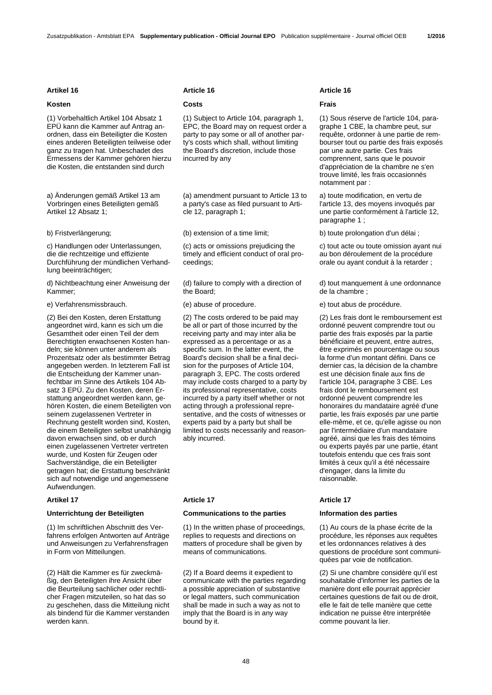(1) Vorbehaltlich Artikel 104 Absatz 1 EPÜ kann die Kammer auf Antrag anordnen, dass ein Beteiligter die Kosten eines anderen Beteiligten teilweise oder ganz zu tragen hat. Unbeschadet des Ermessens der Kammer gehören hierzu die Kosten, die entstanden sind durch

a) Änderungen gemäß Artikel 13 am Vorbringen eines Beteiligten gemäß Artikel 12 Absatz 1;

c) Handlungen oder Unterlassungen, die die rechtzeitige und effiziente Durchführung der mündlichen Verhandlung beeinträchtigen;

d) Nichtbeachtung einer Anweisung der Kammer;

e) Verfahrensmissbrauch. (e) abuse of procedure. e) tout abus de procédure.

(2) Bei den Kosten, deren Erstattung angeordnet wird, kann es sich um die Gesamtheit oder einen Teil der dem Berechtigten erwachsenen Kosten handeln; sie können unter anderem als Prozentsatz oder als bestimmter Betrag angegeben werden. In letzterem Fall ist die Entscheidung der Kammer unanfechtbar im Sinne des Artikels 104 Absatz 3 EPÜ. Zu den Kosten, deren Erstattung angeordnet werden kann, gehören Kosten, die einem Beteiligten von seinem zugelassenen Vertreter in Rechnung gestellt worden sind, Kosten, die einem Beteiligten selbst unabhängig davon erwachsen sind, ob er durch einen zugelassenen Vertreter vertreten wurde, und Kosten für Zeugen oder Sachverständige, die ein Beteiligter getragen hat; die Erstattung beschränkt sich auf notwendige und angemessene Aufwendungen.

### Artikel 17 **Article 17** Article 17 **Article 17** Article 17

(1) Im schriftlichen Abschnitt des Verfahrens erfolgen Antworten auf Anträge und Anweisungen zu Verfahrensfragen in Form von Mitteilungen.

(2) Hält die Kammer es für zweckmäßig, den Beteiligten ihre Ansicht über die Beurteilung sachlicher oder rechtlicher Fragen mitzuteilen, so hat das so zu geschehen, dass die Mitteilung nicht als bindend für die Kammer verstanden werden kann.

### **Artikel 16 Article 16 Article 16**

### **Kosten Costs Frais**

 (1) Subject to Article 104, paragraph 1, EPC, the Board may on request order a party to pay some or all of another party's costs which shall, without limiting the Board's discretion, include those incurred by any

 (a) amendment pursuant to Article 13 to a party's case as filed pursuant to Article 12, paragraph 1;

 (c) acts or omissions prejudicing the timely and efficient conduct of oral proceedings;

 (d) failure to comply with a direction of the Board;

 (2) The costs ordered to be paid may be all or part of those incurred by the receiving party and may inter alia be expressed as a percentage or as a specific sum. In the latter event, the Board's decision shall be a final decision for the purposes of Article 104, paragraph 3, EPC. The costs ordered may include costs charged to a party by its professional representative, costs incurred by a party itself whether or not acting through a professional representative, and the costs of witnesses or experts paid by a party but shall be limited to costs necessarily and reasonably incurred.

### **Unterrichtung der Beteiligten Communications to the parties Information des parties**

 (1) In the written phase of proceedings, replies to requests and directions on matters of procedure shall be given by means of communications.

 (2) If a Board deems it expedient to communicate with the parties regarding a possible appreciation of substantive or legal matters, such communication shall be made in such a way as not to imply that the Board is in any way bound by it.

 (1) Sous réserve de l'article 104, paragraphe 1 CBE, la chambre peut, sur requête, ordonner à une partie de rembourser tout ou partie des frais exposés par une autre partie. Ces frais comprennent, sans que le pouvoir d'appréciation de la chambre ne s'en trouve limité, les frais occasionnés notamment par :

 a) toute modification, en vertu de l'article 13, des moyens invoqués par une partie conformément à l'article 12, paragraphe 1 ;

b) Fristverlängerung; (b) extension of a time limit; b) toute prolongation d'un délai ;

 c) tout acte ou toute omission ayant nui au bon déroulement de la procédure orale ou ayant conduit à la retarder ;

 d) tout manquement à une ordonnance de la chambre ;

 (2) Les frais dont le remboursement est ordonné peuvent comprendre tout ou partie des frais exposés par la partie bénéficiaire et peuvent, entre autres, être exprimés en pourcentage ou sous la forme d'un montant défini. Dans ce dernier cas, la décision de la chambre est une décision finale aux fins de l'article 104, paragraphe 3 CBE. Les frais dont le remboursement est ordonné peuvent comprendre les honoraires du mandataire agréé d'une partie, les frais exposés par une partie elle-même, et ce, qu'elle agisse ou non par l'intermédiaire d'un mandataire agréé, ainsi que les frais des témoins ou experts payés par une partie, étant toutefois entendu que ces frais sont limités à ceux qu'il a été nécessaire d'engager, dans la limite du raisonnable.

 (1) Au cours de la phase écrite de la procédure, les réponses aux requêtes et les ordonnances relatives à des questions de procédure sont communiquées par voie de notification.

 (2) Si une chambre considère qu'il est souhaitable d'informer les parties de la manière dont elle pourrait apprécier certaines questions de fait ou de droit, elle le fait de telle manière que cette indication ne puisse être interprétée comme pouvant la lier.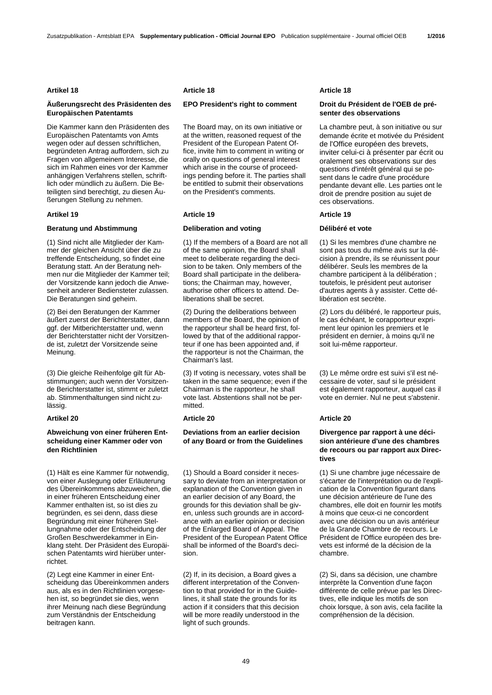# **Äußerungsrecht des Präsidenten des Europäischen Patentamts**

Die Kammer kann den Präsidenten des Europäischen Patentamts von Amts wegen oder auf dessen schriftlichen, begründeten Antrag auffordern, sich zu Fragen von allgemeinem Interesse, die sich im Rahmen eines vor der Kammer anhängigen Verfahrens stellen, schriftlich oder mündlich zu äußern. Die Beteiligten sind berechtigt, zu diesen Äußerungen Stellung zu nehmen.

### **Artikel 19 Article 19 Article 19**

### **Beratung und Abstimmung Deliberation and voting Délibéré et vote**

(1) Sind nicht alle Mitglieder der Kammer der gleichen Ansicht über die zu treffende Entscheidung, so findet eine Beratung statt. An der Beratung nehmen nur die Mitglieder der Kammer teil; der Vorsitzende kann jedoch die Anwesenheit anderer Bediensteter zulassen. Die Beratungen sind geheim.

(2) Bei den Beratungen der Kammer äußert zuerst der Berichterstatter, dann ggf. der Mitberichterstatter und, wenn der Berichterstatter nicht der Vorsitzende ist, zuletzt der Vorsitzende seine Meinung.

(3) Die gleiche Reihenfolge gilt für Abstimmungen; auch wenn der Vorsitzende Berichterstatter ist, stimmt er zuletzt ab. Stimmenthaltungen sind nicht zulässig.

### **Artikel 20 Article 20 Article 20**

# **Abweichung von einer früheren Entscheidung einer Kammer oder von den Richtlinien**

(1) Hält es eine Kammer für notwendig, von einer Auslegung oder Erläuterung des Übereinkommens abzuweichen, die in einer früheren Entscheidung einer Kammer enthalten ist, so ist dies zu begründen, es sei denn, dass diese Begründung mit einer früheren Stellungnahme oder der Entscheidung der Großen Beschwerdekammer in Einklang steht. Der Präsident des Europäischen Patentamts wird hierüber unterrichtet.

(2) Legt eine Kammer in einer Entscheidung das Übereinkommen anders aus, als es in den Richtlinien vorgesehen ist, so begründet sie dies, wenn ihrer Meinung nach diese Begründung zum Verständnis der Entscheidung beitragen kann.

### **Artikel 18 Article 18 Article 18**

# **EPO President's right to comment Droit du Président de l'OEB de pré-**

 The Board may, on its own initiative or at the written, reasoned request of the President of the European Patent Office, invite him to comment in writing or orally on questions of general interest which arise in the course of proceedings pending before it. The parties shall be entitled to submit their observations on the President's comments.

 (1) If the members of a Board are not all of the same opinion, the Board shall meet to deliberate regarding the decision to be taken. Only members of the Board shall participate in the deliberations; the Chairman may, however, authorise other officers to attend. Deliberations shall be secret.

 (2) During the deliberations between members of the Board, the opinion of the rapporteur shall be heard first, followed by that of the additional rapporteur if one has been appointed and, if the rapporteur is not the Chairman, the Chairman's last.

 (3) If voting is necessary, votes shall be taken in the same sequence; even if the Chairman is the rapporteur, he shall vote last. Abstentions shall not be permitted.

# **Deviations from an earlier decision of any Board or from the Guidelines**

 (1) Should a Board consider it necessary to deviate from an interpretation or explanation of the Convention given in an earlier decision of any Board, the grounds for this deviation shall be given, unless such grounds are in accordance with an earlier opinion or decision of the Enlarged Board of Appeal. The President of the European Patent Office shall be informed of the Board's decision.

 (2) If, in its decision, a Board gives a different interpretation of the Convention to that provided for in the Guidelines, it shall state the grounds for its action if it considers that this decision will be more readily understood in the light of such grounds.

# **senter des observations**

 La chambre peut, à son initiative ou sur demande écrite et motivée du Président de l'Office européen des brevets, inviter celui-ci à présenter par écrit ou oralement ses observations sur des questions d'intérêt général qui se posent dans le cadre d'une procédure pendante devant elle. Les parties ont le droit de prendre position au sujet de ces observations.

 (1) Si les membres d'une chambre ne sont pas tous du même avis sur la décision à prendre, ils se réunissent pour délibérer. Seuls les membres de la chambre participent à la délibération ; toutefois, le président peut autoriser d'autres agents à y assister. Cette délibération est secrète.

 (2) Lors du délibéré, le rapporteur puis, le cas échéant, le corapporteur expriment leur opinion les premiers et le président en dernier, à moins qu'il ne soit lui-même rapporteur.

 (3) Le même ordre est suivi s'il est nécessaire de voter, sauf si le président est également rapporteur, auquel cas il vote en dernier. Nul ne peut s'abstenir.

# **Divergence par rapport à une décision antérieure d'une des chambres de recours ou par rapport aux Directives**

 (1) Si une chambre juge nécessaire de s'écarter de l'interprétation ou de l'explication de la Convention figurant dans une décision antérieure de l'une des chambres, elle doit en fournir les motifs à moins que ceux-ci ne concordent avec une décision ou un avis antérieur de la Grande Chambre de recours. Le Président de l'Office européen des brevets est informé de la décision de la chambre.

 (2) Si, dans sa décision, une chambre interprète la Convention d'une façon différente de celle prévue par les Directives, elle indique les motifs de son choix lorsque, à son avis, cela facilite la compréhension de la décision.